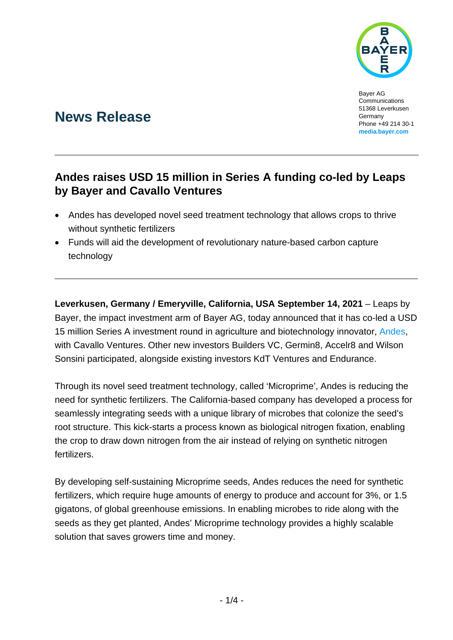

Bayer AG Communications 51368 Leverkusen Germany Phone +49 214 30-1 **[media.bayer.com](http://media.bayer.com/)**

# **News Release**

## **Andes raises USD 15 million in Series A funding co-led by Leaps by Bayer and Cavallo Ventures**

- Andes has developed novel seed treatment technology that allows crops to thrive without synthetic fertilizers
- Funds will aid the development of revolutionary nature-based carbon capture technology

**Leverkusen, Germany / Emeryville, California, USA September 14, 2021** – Leaps by Bayer, the impact investment arm of Bayer AG, today announced that it has co-led a USD 15 million Series A investment round in agriculture and biotechnology innovator, [Andes,](http://www.andes.bio/) with Cavallo Ventures. Other new investors Builders VC, Germin8, Accelr8 and Wilson Sonsini participated, alongside existing investors KdT Ventures and Endurance.

Through its novel seed treatment technology, called 'Microprime', Andes is reducing the need for synthetic fertilizers. The California-based company has developed a process for seamlessly integrating seeds with a unique library of microbes that colonize the seed's root structure. This kick-starts a process known as biological nitrogen fixation, enabling the crop to draw down nitrogen from the air instead of relying on synthetic nitrogen fertilizers.

By developing self-sustaining Microprime seeds, Andes reduces the need for synthetic fertilizers, which require huge amounts of energy to produce and account for 3%, or 1.5 gigatons, of global greenhouse emissions. In enabling microbes to ride along with the seeds as they get planted, Andes' Microprime technology provides a highly scalable solution that saves growers time and money.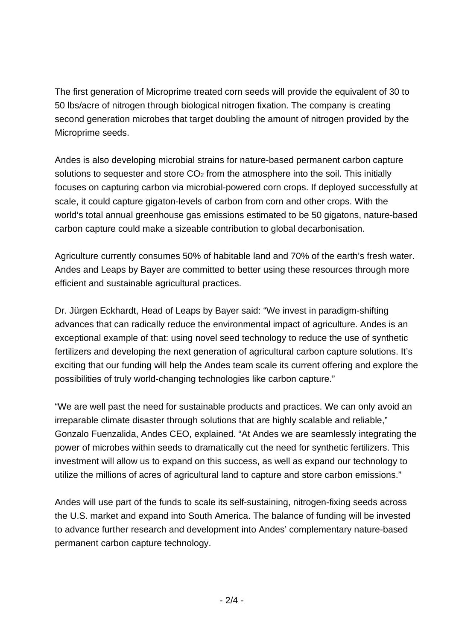The first generation of Microprime treated corn seeds will provide the equivalent of 30 to 50 lbs/acre of nitrogen through biological nitrogen fixation. The company is creating second generation microbes that target doubling the amount of nitrogen provided by the Microprime seeds.

Andes is also developing microbial strains for nature-based permanent carbon capture solutions to sequester and store  $CO<sub>2</sub>$  from the atmosphere into the soil. This initially focuses on capturing carbon via microbial-powered corn crops. If deployed successfully at scale, it could capture gigaton-levels of carbon from corn and other crops. With the world's total annual greenhouse gas emissions estimated to be 50 gigatons, nature-based carbon capture could make a sizeable contribution to global decarbonisation.

Agriculture currently consumes 50% of habitable land and 70% of the earth's fresh water. Andes and Leaps by Bayer are committed to better using these resources through more efficient and sustainable agricultural practices.

Dr. Jürgen Eckhardt, Head of Leaps by Bayer said: "We invest in paradigm-shifting advances that can radically reduce the environmental impact of agriculture. Andes is an exceptional example of that: using novel seed technology to reduce the use of synthetic fertilizers and developing the next generation of agricultural carbon capture solutions. It's exciting that our funding will help the Andes team scale its current offering and explore the possibilities of truly world-changing technologies like carbon capture."

"We are well past the need for sustainable products and practices. We can only avoid an irreparable climate disaster through solutions that are highly scalable and reliable," Gonzalo Fuenzalida, Andes CEO, explained. "At Andes we are seamlessly integrating the power of microbes within seeds to dramatically cut the need for synthetic fertilizers. This investment will allow us to expand on this success, as well as expand our technology to utilize the millions of acres of agricultural land to capture and store carbon emissions."

Andes will use part of the funds to scale its self-sustaining, nitrogen-fixing seeds across the U.S. market and expand into South America. The balance of funding will be invested to advance further research and development into Andes' complementary nature-based permanent carbon capture technology.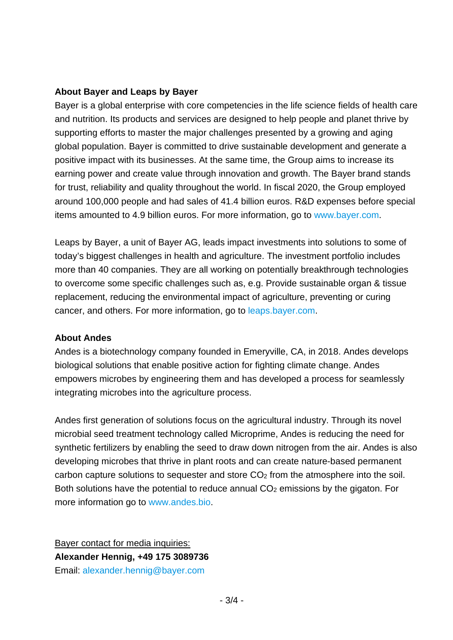### **About Bayer and Leaps by Bayer**

Bayer is a global enterprise with core competencies in the life science fields of health care and nutrition. Its products and services are designed to help people and planet thrive by supporting efforts to master the major challenges presented by a growing and aging global population. Bayer is committed to drive sustainable development and generate a positive impact with its businesses. At the same time, the Group aims to increase its earning power and create value through innovation and growth. The Bayer brand stands for trust, reliability and quality throughout the world. In fiscal 2020, the Group employed around 100,000 people and had sales of 41.4 billion euros. R&D expenses before special items amounted to 4.9 billion euros. For more information, go to [www.bayer.com.](https://www.bayer.com/)

Leaps by Bayer, a unit of Bayer AG, leads impact investments into solutions to some of today's biggest challenges in health and agriculture. The investment portfolio includes more than 40 companies. They are all working on potentially breakthrough technologies to overcome some specific challenges such as, e.g. Provide sustainable organ & tissue replacement, reducing the environmental impact of agriculture, preventing or curing cancer, and others. For more information, go to [leaps.bayer.com.](http://www.leaps.bayer.com/)

## **About Andes**

Andes is a biotechnology company founded in Emeryville, CA, in 2018. Andes develops biological solutions that enable positive action for fighting climate change. Andes empowers microbes by engineering them and has developed a process for seamlessly integrating microbes into the agriculture process.

Andes first generation of solutions focus on the agricultural industry. Through its novel microbial seed treatment technology called Microprime, Andes is reducing the need for synthetic fertilizers by enabling the seed to draw down nitrogen from the air. Andes is also developing microbes that thrive in plant roots and can create nature-based permanent carbon capture solutions to sequester and store CO2 from the atmosphere into the soil. Both solutions have the potential to reduce annual  $CO<sub>2</sub>$  emissions by the gigaton. For more information go to [www.andes.bio.](http://www.andes.bio/)

Bayer contact for media inquiries: **Alexander Hennig, +49 175 3089736** Email: [alexander.hennig@bayer.com](mailto:alexander.hennig@bayer.com)